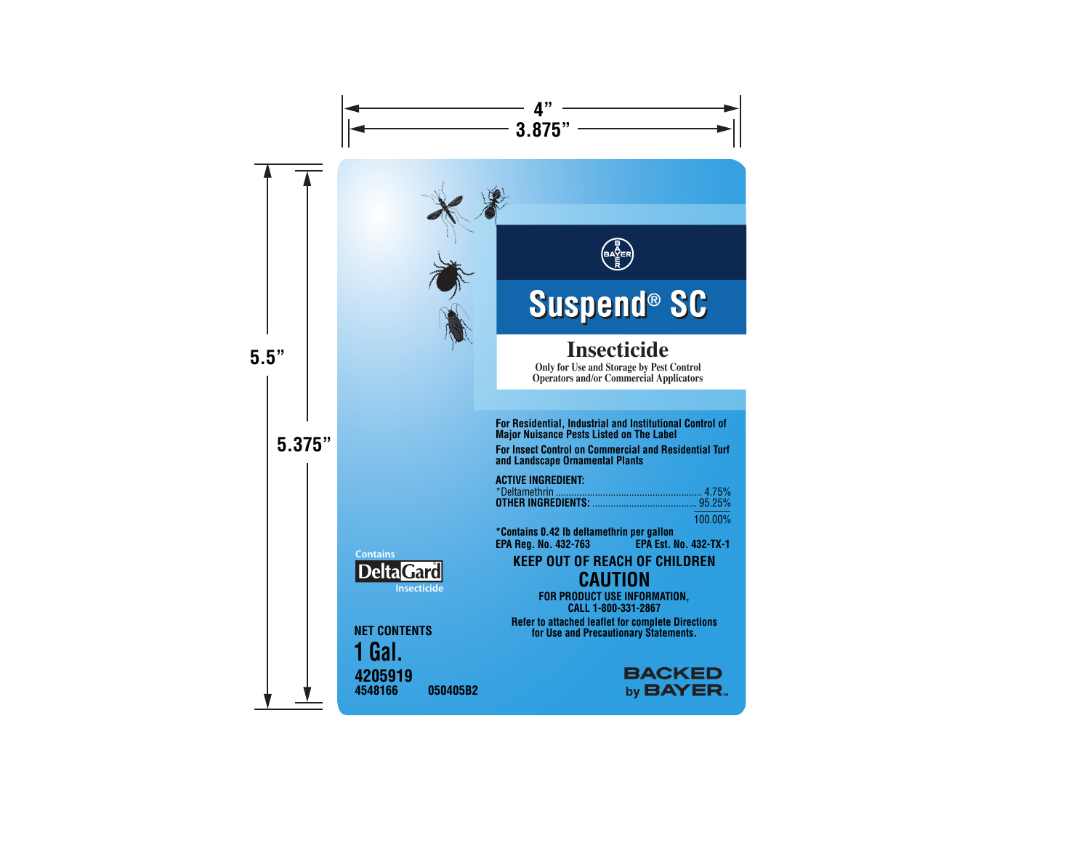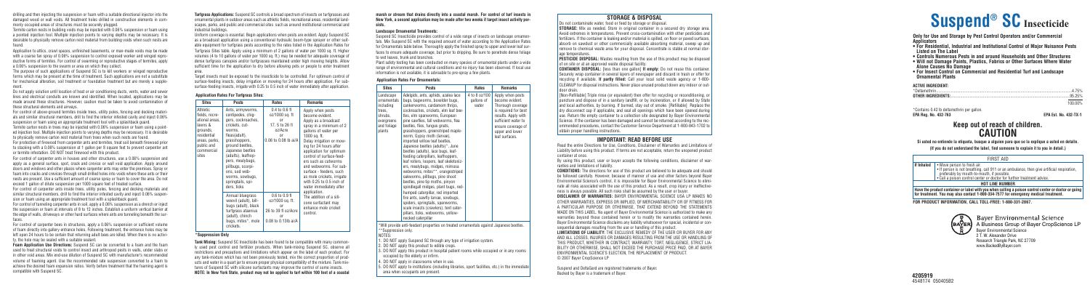**Turfgrass Applications:** Suspend SC controls a broad spectrum of insects on turfgrasses and ornamental plants in outdoor areas such as athletic fields, recreational areas, residential landscapes, parks, and public and commercial sites such as around institutional commercial and industrial buildings.

Uniform coverage is essential. Begin applications when pests are evident. Apply Suspend SC as a broadcast application using a conventional hydraulic boom-type sprayer or other suitable equipment for turfgrass pests according to the rates listed in the Application Rates for Turfgrass Sites table. Apply using a minimum of 2 gallons of water per 1000 sq. ft. Higher volumes (4 to 10 gallons of water per 1000 sq. ft.) may be needed for adequate coverage of dense turfgrass canopies and/or turfgrasses maintained under high mowing heights. Allow sufficient time for the application to dry before allowing pets or people to enter treatment area.

Target insects must be exposed to the insecticide to be controlled. For optimum control of surface-feeding insects, delay irrigation or mowing for 24 hours after application. For subsurface-feeding insects, irrigate with 0.25 to 0.5 inch of water immediately after application.

drilling and then injecting the suspension or foam with a suitable directional injector into the damaged wood or wall voids. All treatment holes drilled in construction elements in commonly occupied areas of structures must be securely plugged.

Termite carton nests in building voids may be injected with 0.06% suspension or foam using a pointed injection tool. Multiple injection points to varying depths may be necessary. It is desirable to physically remove carton nest material from building voids when such nests are found.

Application to attics, crawl spaces, unfinished basements, or man-made voids may be made with a coarse fan spray of 0.06% suspension to control exposed worker and winged reproductive forms of termites. For control of swarming or reproductive stages of termites, apply a 0.06% suspension to the swarm or area on which they collect.

The purpose of such applications of Suspend SC is to kill workers or winged reproductive forms which may be present at the time of treatment. Such applications are not a substitute for mechanical alteration, soil treatment or foundation treatment but are merely a supplement.

Do not apply solution until location of heat or air conditioning ducts, vents, water and sewer lines and electrical conduits are known and identified. When located, applications may be made around these structures. However, caution must be taken to avoid contamination of these structural elements and airways.

For control of above-ground termites inside trees, utility poles, fencing and decking materials and similar structural members, drill to find the interior infested cavity and inject 0.06% suspension or foam using an appropriate treatment tool with a splashback guard. Termite carton nests in trees may be injected with 0.06% suspension or foam using a pointed injection tool. Multiple injection points to varying depths may be necessary. It is desirable to physically remove carton nest material from trees when such nests are found. For protection of firewood from carpenter ants and termites, treat soil beneath firewood prior

to stacking with a 0.06% suspension at 1 gallon per 8 square feet to prevent carpenter ant or termite infestation. DO NOT treat firewood with this product.

For control of carpenter ants in houses and other structures, use a 0.06% suspension and apply as a general surface, spot, crack and crevice or wall void application. Apply around doors and windows and other places where carpenter ants may enter the premises. Spray or foam into cracks and crevices through small drilled holes into voids where these ants or their nests are present. Use a sufficient amount of coarse spray or foam to cover the area. Do not exceed 1 gallon of dilute suspension per 1000 square feet of treated surface.

> Baver Environmental Science **(BAYER)** A Business Group of Bayer CropScience LP Bayer Environmental Science 2 T. W. Alexander Drive Research Triangle Park, NC 27709 www.BackedByBaye r.com

For control of carpenter ants inside trees, utility poles, fencing and decking materials and similar structural members, drill to find the interior infested cavity and inject 0.06% suspension or foam using an appropriate treatment tool with a splashback guard.

For control of tunneling carpenter ants in soil, apply a 0.06% suspension as a drench or inject the suspension or foam at intervals of 8 to 12 inches. Establish a uniform vertical barrier at the edge of walls, driveways or other hard surfaces where ants are tunneling beneath the surfaces.

For control of carpenter bees in structures, apply a 0.06% suspension or sufficient volume of foam directly into gallery entrance holes. Following treatment, the entrance holes may be left open 24 hours to be certain that returning adult bees are killed. When there is no activity, the hole may be sealed with a suitable sealant.

**Foam Application Use Directions:** Suspend SC can be converted to a foam and the foam used to treat structural voids to control insect and arthropod pests in walls, under slabs or in other void areas. Mix end-use dilution of Suspend SC with manufacturer's recommended volume of foaming agent. Use the recommended rate suspension converted to a foam to achieve the desired foam expansion ratios. Verify before treatment that the foaming agent is compatible with Suspend SC.

**marsh or stream that drains directly into a coastal marsh. For control of turf insects in New York, a second application may be made after two weeks if target insect activity persists.**

#### **Landscape Ornamental Treatments:**

Suspend SC Insecticide provides control of a wide range of insects on landscape ornamentals. Mix Suspend SC with the required amount of water according to the Application Rates for Ornamentals table below. Thoroughly apply the finished spray to upper and lower leaf surfaces to ensure adequate coverage, but prior to dripping. Be sure to penetrate dense foliage to wet leaves, trunk and branches.

Do not contaminate water, food or feed by storage or disposal. **STORAGE:** Mix as needed. Store in original container in a secured dry storage area. Avoid extremes in temperatures. Prevent cross-contamination with other pesticides and fertilizers. If the container is leaking and/or material is spilled, on floor or paved surfaces, absorb on sawdust or other commercially available absorbing material, sweep up and remove to chemical waste area for your disposal. Concentrate is stable at normal storage temperatures.

Plant safety testing has been conducted on many species of ornamental plants under a wide range of environmental and cultural conditions and no injury has been observed. If local use information is not available, it is advisable to pre-spray a few plants.

**PESTICIDE DISPOSAL:** Wastes resulting from the use of this product may be disposed of on site or at an approved waste disposal facility.

**Only for Use and Storage by Pest Control Operators and/or Commercial**

**CONTAINER DISPOSAL:** [less than one gallon] If empty: Do not reuse this container Securely wrap container in several layers of newspaper and discard in trash or offer for recycling if available. **If partly filled:** Call your local solid waste agency or 1-800- CLEANUP for disposal instructions. Never place unused product down any indoor or outdoor drain.

- **Applicators For Residential, Industrial and Institutional Control of Major Nuisance Pests Listed on The Label**
- **Controls Numerous Pests in and around Households and Other Structures**
- **Will not Damage Paints, Plastics, Fabrics or Other Surfaces Where Water Alone Causes No Damage**
- **For Insect Control on Commercial and Residential Turf and Landscape Ornamental Plants**

#### **ACTIVE INGREDIENT:**

| 100 00% |
|---------|
|         |

\*Contains 0.42 lb deltamethrin per gallon. **EPA Reg. No. 432-763 EPA Est. No. 432-TX-1**

# **Keep out of reach of children. CAUTION**

**Si usted no entiende la etiqueta, busque a alguien para que se la explique a usted en detalle. (If you do not understand the label, find someone to explain it to you in detail.)**

|            | FIRST AID                                                                                                                                                                                                                                        |
|------------|--------------------------------------------------------------------------------------------------------------------------------------------------------------------------------------------------------------------------------------------------|
| If Inhaled | • Move person to fresh air.<br>• If person is not breathing, call 911 or an ambulance, then give artificial respiration,<br>preferably by mouth-to-mouth, if possible.<br>• Call a poison control center or doctor for further treatment advice. |
|            | <b>HOT LINE NUMBER</b>                                                                                                                                                                                                                           |
|            | Have the product container or label with you when calling a poison control center or doctor or going<br>for treatment. You may also contact 1-800-334-7577 for emergency medical treatment.                                                      |

**4205919** 4548174 050405B2

**FOR PRODUCT INFORMATION, CALL TOLL-FREE: 1-800-331-2867.**



# **Suspend ® SC Insecticide**

#### **Application Rates For Turfgrass Sites:**

| <b>Sites</b>                                                                                                                             | Pests                                                                                                                                                                                                                                                                                                   | Rates                                                                                                          | <b>Remarks</b>                                                                                                                                                                                                                                                                                                                                                                                                    |
|------------------------------------------------------------------------------------------------------------------------------------------|---------------------------------------------------------------------------------------------------------------------------------------------------------------------------------------------------------------------------------------------------------------------------------------------------------|----------------------------------------------------------------------------------------------------------------|-------------------------------------------------------------------------------------------------------------------------------------------------------------------------------------------------------------------------------------------------------------------------------------------------------------------------------------------------------------------------------------------------------------------|
| Athletic<br>fields, recre-<br>ational areas,<br>lawns &<br>grounds,<br>residential<br>areas, parks,<br>public and<br>commercial<br>sites | Ants, armyworms,<br>centipedes, chiq-<br>gers, cockroaches,<br>crickets, cut-<br>worms,<br>fleas(adult),<br>grasshoppers,<br>ground beetles,<br>Japanese beetles<br>(adults), leafhop-<br>pers, mealybugs,<br>pillbugs, scorpi-<br>ons, sod web-<br>worms, sowbugs,<br>springtails, spi-<br>ders, ticks | $0.4$ to $0.6$ fl<br>oz/1000 sq. ft<br>or<br>17.5 to 26 fl<br>oz/Acre<br><sub>0r</sub><br>0.06 to 0.08 lb ai/A | Apply when pests<br>become evident.<br>Apply as a broadcast<br>spray in a minimum of 2<br>gallons of water per<br>1000 sq. ft.<br>Delay irrigation or mow-<br>ing for 24 hours after<br>application for optimum<br>control of surface-feed-<br>ers such as cutworms<br>and webworms. For sub-<br>surface - feeders, such<br>as mole crickets, irrigate<br>with $0.25$ to $0.5$ inch of<br>water immediately after |
|                                                                                                                                          | Annual bluegrass<br>weevil (adult), bill-<br>bugs (adult), black<br>turfgrass ataenius<br>(adult), chinch<br>bugs, mites*, mole<br>crickets.                                                                                                                                                            | $0.6$ to $0.9$ fl<br>oz/1000 sq. ft.<br>or<br>26 to 39 fl oz/Acre<br>or<br>0.08 to 0.13lb ai/A                 | application.<br>The addition of a sili-<br>cone surfactant may<br>enhance mole cricket<br>control.                                                                                                                                                                                                                                                                                                                |

#### **\*Suppression Only**

#### **Application Rates For Ornamentals:**

| <b>Sites</b>                                                                                      | <b>Pests</b>                                                                                                                                                                                                                                                                                                                                                                                                                                                                                                                                                                                                                                                                                                                                                                                                                                                                                                               | <b>Rates</b>                         | <b>Remarks</b>                                                                                                                                                                            |
|---------------------------------------------------------------------------------------------------|----------------------------------------------------------------------------------------------------------------------------------------------------------------------------------------------------------------------------------------------------------------------------------------------------------------------------------------------------------------------------------------------------------------------------------------------------------------------------------------------------------------------------------------------------------------------------------------------------------------------------------------------------------------------------------------------------------------------------------------------------------------------------------------------------------------------------------------------------------------------------------------------------------------------------|--------------------------------------|-------------------------------------------------------------------------------------------------------------------------------------------------------------------------------------------|
| Landscape<br>ornamentals<br>includina<br>trees,<br>shrubs.<br>evergreens<br>and foliage<br>plants | Adelgids, ants, aphids, azalea lace<br>bugs, bagworms, boxelder bugs,<br>cankerworms, cardamom thrips.<br>cockroaches, crickets, elm leaf bee-<br>tles, elm spanworms, European<br>pine sawflies, fall webworms, flea<br>beetles, flies, fungus gnats,<br>grasshoppers, greenstriped maple-<br>worm, Gypsy moth (larvae),<br>imported willow leaf beetles,<br>Japanese beetles (adults)*, June<br>beetles (adults), lace bugs, leaf-<br>feeding caterpillars, leafhoppers,<br>leaf rollers, loopers, leaf skeletoniz-<br>ers, mealybugs, midges, mimosa<br>webworms, mites**, orangestriped<br>oakworms, pillbugs, pine shoot<br>beetles, pine tip moths, pinyon<br>spindlegall midges, plant bugs, red-<br>humped caterpillar, red imported<br>fire ants, sawfly larvae, sowbugs,<br>spiders, springtails, spanworms,<br>scale insects (crawlers), tent cater-<br>pillars, ticks, webworms, vellow-<br>necked caterpillar | 4 to 8 oz/100<br>gallons of<br>water | Apply when pests<br>become evident.<br>Thorough coverage<br>is required for best<br>results. Apply with<br>sufficient water to<br>ensure coverage of<br>upper and lower<br>leaf surfaces. |
| **Suppression only.<br>NOTES:                                                                     | *Will provide anti-feedant properties on treated ornamentals against Japanese beetles.<br>1. DO NOT apply Suspend SC through any type of irrigation system.<br>2. DO NOT apply this product to edible crops.<br>3. DO NOT apply this product in hospital patient rooms while occupied or in any rooms<br>occupied by the elderly or infirm.<br>4 DO NOT annly in classrooms when in use                                                                                                                                                                                                                                                                                                                                                                                                                                                                                                                                    |                                      |                                                                                                                                                                                           |

5. DO NOT apply to institutions (including libraries, sport facilities, etc.) in the immediate

area when occupants are present.

**Tank Mixing:** Suspend SC Insecticide has been found to be compatible with many commonly used pest control and fertilizer products. When tank-mixing Suspend SC, observe all restrictions and precautions and limitations which appear on the label of each product. For any tank-mixture which has not been previously tested, mix the correct proportion of products and water in a quart jar to ensure proper physical compatibility of the mixture. Tank mixtures of Suspend SC with silicone surfactants may improve the control of some insects. **NOTE: In New York State, product may not be applied to turf within 100 feet of a coastal**

#### **STORAGE & DISPOSAL**

[Non-Refillable] Triple rinse (or equivalent) then offer for recycling or reconditioning, or puncture and dispose of in a sanitary landfill, or by incineration, or if allowed by State and local authorities, by burning. If burned, stay out of smoke. [Refillable] Replace the dry disconnect cap if applicable, and seal all openings which have been opened during use. Return the empty container to a collection site designated by Bayer Environmental Science. If the container has been damaged and cannot be returned according to the recommended procedures, contact the Customer Service Department at 1-800-843-1702 to obtain proper handling instructions.

#### **IMPORTANT: READ BEFORE USE**

Read the entire Directions for Use, Conditions, Disclaimer of Warranties and Limitations of Liability before using this product. If terms are not acceptable, return the unopened product container at once.

By using this product, user or buyer accepts the following conditions, disclaimer of warranties and limitations of liability.

**CONDITIONS:** The directions for use of this product are believed to be adequate and should be followed carefully. However, because of manner of use and other factors beyond Bayer Environmental Science's control, it is impossible for Bayer Environmental Science to eliminate all risks associated with the use of this product. As a result, crop injury or ineffectiveness is always possible. All such risks shall be assumed by the user or buyer. **DISCLAIMER OF WARRANTIES:** BAYER ENVIRONMENTAL SCIENCE USA LP MAKES NO OTHER WARRANTIES, EXPRESS OR IMPLIED, OF MERCHANTABILITY OR OF FITNESS FOR A PARTICULAR PURPOSE OR OTHERWISE, THAT EXTEND BEYOND THE STATEMENTS MADE ON THIS LABEL. No agent of Bayer Environmental Science is authorized to make any warranties beyond those contained herein or to modify the warranties contained herein. Bayer Environmental Science disclaims any liability whatsoever for special, incidental or consequential damages resulting from the use or handling of this product. **LIMITATIONS OF LIABILITY:** THE EXCLUSIVE REMEDY OF THE USER OR BUYER FOR ANY AND ALL LOSSES, INJURIES OR DAMAGES RESULTING FROM THE USE OR HANDLING OF THIS PRODUCT, WHETHER IN CONTRACT, WARRANTY, TORT, NEGLIGENCE, STRICT LIA-BILITY OR OTHERWISE, SHALL NOT EXCEED THE PURCHASE PRICE PAID, OR AT BAYER ENVIRONMENTAL SCIENCE'S ELECTION, THE REPLACEMENT OF PRODUCT. © 2007 Bayer CropScience LP

Suspend and DeltaGard are registered trademarks of Bayer. Backed by Bayer is a trademark of Bayer.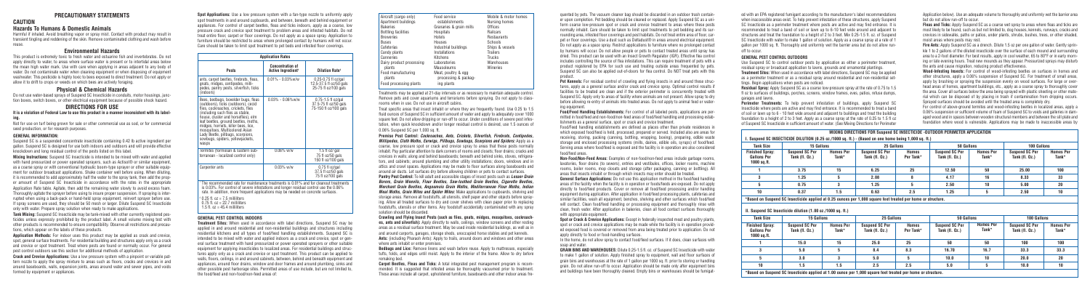### **PRECAUTIONARY STATEMENTS**

**CAUTION**

# **Hazards To Humans & Domestic Animals**

Harmful if inhaled. Avoid breathing vapor or spray mist. Contact with product may result in transient tingling and reddening of the skin. Remove contaminated clothing and wash before reuse.

#### **Environmental Hazards**

This product is extremely toxic to fresh water and estuarine fish and invertebrates. Do not apply directly to water, to areas where surface water is present or to intertidal areas below the mean high water mark. Use with care when applying in areas adjacent to any body of water. Do not contaminate water when cleaning equipment or when disposing of equipment washwater. This pesticide is highly toxic to bees exposed to direct treatment. Do not apply or allow it to drift to crops or weeds on which bees are actively foraging.

#### **Physical & Chemical Hazards**

Do not use water-based sprays of Suspend SC Insecticide in conduits, motor housings, junction boxes, switch boxes, or other electrical equipment because of possible shock hazard.

#### **DIRECTIONS FOR USE**

**It is a violation of Federal Law to use this product in a manner inconsistent with its labeling.**

Not for use on turf being grown for sale or other commercial use as sod, or for commercial seed production, or for research purposes.

#### **GENERAL INFORMATION:**

Suspend SC is a suspended concentrate insecticide containing 0.42 lb active ingredient per gallon. Suspend SC is designed for use both indoors and outdoors and will provide effective knockdown and long residual control of the pests listed on this label.

**Mixing Instructions:** Suspend SC Insecticide is intended to be mixed with water and applied with hand pressurized or power operated sprayers, such as Actisol® or similar equipment, as a coarse spray or with conventional hydraulic boom-type sprayer or other suitable equipment for outdoor broadcast applications. Shake container well before using. When diluting, it is recommended to add approximately half the water to the spray tank, then add the proper amount of Suspend SC Insecticide in accordance with the rates in the appropriate Application Rate table. Agitate, then add the remaining water slowly to avoid excess foam. Thoroughly agitate the sprayer before using to insure proper suspension. If spraying is interrupted when using a back-pack or hand-held spray equipment, reinvert sprayer before use. If spray screens are used, they should be 50 mesh or larger. Dilute Suspend SC Insecticide only with water. Prepare spray solution when ready to make applications.

**Tank Mixing:** Suspend SC Insecticide may be tank-mixed with other currently registered pesticides unless expressly prohibited by the product label. A small volume mixing test with other products is recommended to ensure compatibility. Observe all restrictions and precautions, which appear on the labels of these products.

**Application Methods:** For indoor uses this product may be applied as crack and crevice, spot, general surface treatments. For residential building and structures apply only as a crack and crevice or spot treatment. Treat where pests are found or normally occur. For general pest control outdoors see this section for additional methods of application.

**Crack and Crevice Applications:** Use a low pressure system with a pinpoint or variable pattern nozzle to apply the spray mixture to areas such as floors, cracks and crevices in and around baseboards, walls, expansion joints, areas around water and sewer pipes, and voids formed by equipment or appliances.

Treatments may be applied at 21-day intervals or as necessary to maintain adequate control. Remove pets and cover aquariums and terrariums before spraying. Do not apply to classrooms when in use. Do not use in aircraft cabins.

Treat specific areas that insect inhabit or where they are frequently found. Use 0.25 to 1.5 fluid ounces of Suspend SC in sufficient amount of water and apply to adequately cover 1000 square feet. Do not allow dripping or run-off to occur. Under conditions of severe pest infestation, when quick knockdown and/or longer residual control is desired, use 1.5 ounces of 0.06% Suspend SC per 1,000 sq. ft.

**Perimeter Treatments:** To help prevent infestation of buildings, apply Suspend SC Insecticide where pests are active and may find entrance. It is recommended to treat a band of soil or lawn up to 6 - 10 feet wide around and adjacent to buildings and treat the building foundation to a height of 2 to 3 feet. Apply as a coarse spray at the rate of 0.25 to 1.5 fl oz of Suspend SC Insecticide in sufficient amount of water. (See Mixing Directions for Perimeter

**Premise Pest Control: Cockroaches, Ants, Crickets, Silverfish, Firebrats, Centipedes, Millipedes, Cloth Moths, Earwigs, Pillbugs, Sowbugs, Scorpions and Spiders:** Apply as a coarse, low pressure spot or crack and crevice spray to areas that these pests normally inhabit. Pay particular attention to dark corners of rooms and closets; floor drains; cracks and crevices in walls; along and behind baseboards; beneath and behind sinks, stoves, refrigerators, and cabinets; around plumbing and other utility installations; doors, windows and in attics and crawl spaces. Applications may be made to floor surfaces along baseboards and around air ducts. Let surfaces dry before allowing children or pets to contact surfaces.

**Pantry Pest Control:** To kill adult and accessible stages of insect pests such as **Lesser Grain Borers, Grain Weevils, Flour Beetles, Saw-toothed Grain Beetles, Cigarette Beetles, Merchant Grain Beetles, Angoumois Grain Moths, Mediterranean Flour Moths, Indian Meal Moths, Grain Mites and Spider Mites:** Make applications to cupboards, shelving and storage areas. Remove all foodstuffs, all utensils, shelf paper and other objects before spraying. Allow all treated surfaces to dry and cover shelves with clean paper prior to replacing foodstuffs, utensils or other items. Any foodstuff accidentally contaminated with any spray solution should be discarded.

**Non-Food/Non-Feed Areas:** Examples of non-food/non-feed areas include garbage rooms, lavatories, floor drains (to sewers), entries and vestibules, offices, locker rooms, machine rooms, boiler rooms, mop closets and storage (after packaging, canning or bottling). All areas that insects inhabit or through which insects may enter should be treated. **General Surface Applications:** Do not use this application method in the food/feed handling areas of the facility when the facility is in operation or foods/feeds are exposed. Do not apply directly to food/feed products. Cover or remove all food/feed processing and/or handling equipment during application. After application in food/feed processing plants, cafeterias and similar facilities, wash all equipment, benches, shelving and other surfaces which food/feed will contact. Clean food/feed handling or processing equipment and thoroughly rinse with clean, fresh water. After application in bakeries, clean all food contact surfaces thoroughly with appropriate equipment.

**Crawling and Flying Insect Pests (such as flies, gnats, midges, mosquitoes, cockroaches, ants and silverfish):** Apply directly to walls, ceilings, window screens and other resting areas as a residual surface treatment. May be used inside residential buildings, as well as in and around carports, garages, storage sheds, unoccupied horse stables and pet kennels. **Ants:** (including Pharaoh Ants): Apply to trails, around doors and windows and other areas where ants inhabit or enter premises.

**Spot or Crack & Crevice Applications:** Except in federally inspected meat and poultry plants, spot or crack and crevice applications may be made while the facility is in operation provided exposed food is covered or removed from area being treated prior to application. Do not apply directly to food or food-handling surfaces. In the home, do not allow spray to contact food/feed surfaces. If it does, clean surfaces with soap and water

**Bedbugs and Lice:** Remove linens and wash before reuse. Apply to mattresses, especially tufts, folds, and edges until moist. Apply to the interior of the frame. Allow to dry before remaking bed.

**Carpet Beetles, Fleas and Ticks:** A total integrated pest management program is recommended. It is suggested that infested areas be thoroughly vacuumed prior to treatment. These areas include all carpet, upholstered furniture, baseboards and other indoor areas fre-

ed with an EPA registered fumigant according to the manufacturer's label recommendations when inaccessible areas exist. To help prevent infestation of these structures, apply Suspend SC Insecticide as a perimeter treatment where pests are active and may find entrance. It is recommended to treat a band of soil or lawn up to 6-10 feet wide around and adjacent to structures and treat the foundation to a height of 2 to 3 feet. Mix 0.25-1.5 fl. oz. of Suspend SC Insecticide with water to make 1 gallon of solution. Apply as a coarse spray at a rate of 1 gallon per 1000 sq. ft. Thoroughly and uniformly wet the barrier area but do not allow runoff to occur.

#### **GENERAL PEST CONTROL OUTDOORS**

Use Suspend SC to control outdoor pests by application as either a perimeter treatment, residual spray or broadcast application to lawns, grounds and ornamental plantings.

**Treatment Sites:** When used in accordance with label directions, Suspend SC may be applied as a perimeter treatment or as a residual spray around residential and non-residential settings. Begin applications when pests are noticed.

**Spot Applications:** Use a low pressure system with a fan-type nozzle to uniformly apply spot treatments in and around cupboards, and between, beneath and behind equipment or appliances. For control of carpet beetles, fleas and ticks indoors, apply as a coarse, low pressure crack and crevice spot treatment to problem areas and infested habitats. Do not treat entire floor, carpet or floor coverings. Do not apply as a space spray. Application to furniture should be restricted to areas where prolonged contact by humans will not occur. Care should be taken to limit spot treatment to pet beds and infested floor coverings.

> **Residual Spray:** Apply Suspend SC as a coarse low-pressure spray at the rate of 0.75 to 1.5 fl oz to surfaces of buildings, porches, screens, window frames, eves, patios, refuse dumps, garages and lawns.

quented by pets. The vacuum cleaner bag should be discarded in an outdoor trash container upon completion. Pet bedding should be cleaned or replaced. Apply Suspend SC as a uniform coarse low-pressure spot or crack and crevice treatment to areas where these pests normally inhabit. Care should be taken to limit spot treatments to pet bedding and its surrounding area, infested floor coverings and pest habitats. Do not treat entire area of floor, carpet or floor coverings. Use a dust such as Deltadust<sup>®</sup> in areas around electrical equipment. Do not apply as a space spray. Restrict applications to furniture where no prolonged contact by humans will occur. Do not allow people or pets to contact treated areas until spray has dried. This product can be used with an Insect Growth Regulator (IGR). Effective flea control includes controlling the source of flea infestations. This can require treatment of pets with a product registered by EPA for such use and treating outside areas frequented by pets. Suspend SC can also be applied out-of-doors for flea control. Do NOT treat pets with this product.

**Pet Kennels:** For residual control of crawling and flying insects in and around these structures, apply as a general surface and/or crack and crevice spray. Optimal control results if facilities to be treated are clean and if the exterior perimeter is concurrently treated with Suspend SC. Apply only to areas of facility where animals are not present. Allow spray to dry before allowing re-entry of animals into treated areas. Do not apply to animal feed or watering equipment.

**Food/Feed Handling Establishments:** For control of all labeled pests, applications are permitted in food/feed and non-food/non-feed areas of food/feed handling and processing establishments as a general surface, spot or crack and crevice treatment. Food/Feed handling establishments are defined as places other than private residences in which exposed food/feed is held, processed, prepared or served. Included also are areas for receiving, storing, packing (canning, bottling, wrapping, boxing), preparing, edible waste storage and enclosed processing systems (mills, dairies, edible oils, syrups) of food/feed. Serving areas where food/feed is exposed and the facility is in operation are also considered food/feed areas.

**GRAIN BINS AND WAREHOUSES:** Dilute 0.25-1.5 fl. oz. of Suspend SC Insecticide with water to make 1 gallon of solution. Apply finished spray to equipment, wall and floor surfaces of grain bins and warehouses at the rate of 1 gallon per 1000 sq. ft. prior to storing or handling grain. Do not allow run-off to occur. Application should be made only after equipment bins and buildings have been thoroughly cleaned. Empty bins or warehouses should be fumigat-

Application below). Use an adequate volume to thoroughly and uniformly wet the barrier area but do not allow run-off to occur.

**Fleas and Ticks:** Apply Suspend SC as a coarse wet spray to areas where fleas and ticks are most likely to be found, such as but not limited to, dog houses, kennels, runways, cracks and crevices in sidewalks, paths or patios, under plants, shrubs, bushes, trees, or other shaded, moist areas where pests may rest.

**Fire Ants:** Apply Suspend SC as a drench. Dilute 1.5 oz per one gallon of water. Gently sprinkle 1 to 2 gallons of the diluted insecticide over the surface of each mound and surrounding area to a 2-foot diameter. For best results, apply in cool weather, 65 to 80°F or in early morning or late evening hours. Treat new mounds as they appear. Pressurized sprays may disturb the ants and cause migration, reducing product effectiveness.

**Wood-Infesting Insects:** For control of wood-infesting beetles on surfaces in homes and other structures, apply a 0.06% suspension of Suspend SC. For treatment of small areas, apply by brushing or spraying the suspension evenly on wood surfaces. For large or overhead areas of homes, apartment buildings, etc., apply as a coarse spray to thoroughly cover the area. Cover all surfaces below the area being sprayed with plastic sheeting or other material which can be disposed of by placing in trash if contamination from dripping occurs. Sprayed surfaces should be avoided until the treated area is completely dry.

For control of above-ground termites and wood-infesting beetles in localized areas, apply a 0.06% suspension or sufficient volume of foam of Suspend SC to voids and galleries in damaged wood and in spaces between wooden structural members and between the sill plate and foundation where wood is vulnerable. Applications may be made to inaccessible areas by

| <b>Application Rates</b>                                                                                                                                                                                                                                                                                                                                                                         |                                                           |                                                                            |  |  |
|--------------------------------------------------------------------------------------------------------------------------------------------------------------------------------------------------------------------------------------------------------------------------------------------------------------------------------------------------------------------------------------------------|-----------------------------------------------------------|----------------------------------------------------------------------------|--|--|
| <b>Pests</b>                                                                                                                                                                                                                                                                                                                                                                                     | <b>Concentration of</b><br>Active Ingredient <sup>1</sup> | <b>Dilution Rate<sup>2</sup></b>                                           |  |  |
| ants, carpet beetles, firebrats, fleas,<br>gnats, midges, centipedes, milli-<br>pedes, pantry pests, silverfish, ticks<br>(indoors)                                                                                                                                                                                                                                                              | $0.01\% - 0.03\%$ w/w                                     | $0.25 - 0.75$ fl oz/gal<br>12.5-37.5 fl oz/50 gals<br>25-75 fl oz/100 gals |  |  |
| Bees, bedbugs, boxelder bugs, fleas<br>(outdoors), ticks (outdoors), cecid<br>flies, cockroaches, crickets, flies<br>(including such flies as stable,<br>house, cluster and horseflies), elm.<br>leaf beetles, ground beetles, moths,<br>midges, hornets, killer bees, lice,<br>mosquitoes, Multicolored Asian<br>Lady Beetle, pillbugs, scorpions,<br>sowbugs, spiders, yellowjackets,<br>wasps | $0.03\% - 0.06\%$ w/w                                     | $0.75-1.5$ fl oz/gal<br>37.5-75 fl oz/50 gals<br>75-150 fl oz/100 gals     |  |  |
| Termites (formosan & Eastern sub-<br>terranean - localized control only)                                                                                                                                                                                                                                                                                                                         | $0.06\%$ w/w                                              | 1.5 fl $oz$ gal<br>75 fl oz/50 gals<br>150 fl oz/100 gals                  |  |  |
| Carpenter ants                                                                                                                                                                                                                                                                                                                                                                                   | $0.03\%$ w/w                                              | $0.75$ fl oz/gal<br>37.5 fl oz/50 gals<br>75 fl oz/100 gals                |  |  |

rate. In addition, more frequent applications may be needed on concrete surfaces.

| <sup>2</sup> 0.25 fl. oz = 7.5 milliliters<br>0.75 fl. oz = 22.7 milliliters<br>1.5 fl. oz = 45.4 milliliters |
|---------------------------------------------------------------------------------------------------------------|
|                                                                                                               |
|                                                                                                               |
|                                                                                                               |

#### **GENERAL PEST CONTROL INDOORS**

**Treatment Sites:** When used in accordance with label directions, Suspend SC may be applied in and around residential and non-residential buildings and structures including residential kitchens and all types of food/feed handling establishments. Suspend SC is intended to be mixed with water and applied indoors as a crack and crevice, spot or general surface treatment with hand pressurized or power operated sprayers or other suitable equipment for applying insecticides to localized areas. For residential buildings and structures apply only as a crack and crevice or spot treatment. This product can be applied to walls, floors, ceilings, in and around cabinets, between, behind and beneath equipment and appliances, around floor drains, window and door frames and around plumbing, sinks and other possible pest harborage sites. Permitted areas of use include, but are not limited to, the food/feed and non-food/non-feed areas of:

| Food service<br>establishments              | Mobile & motor homes<br>Nursing homes |
|---------------------------------------------|---------------------------------------|
|                                             | Offices                               |
| Hospitals                                   | Railcars                              |
| Hotels                                      | Restaurants                           |
| Houses                                      | Schools                               |
| Industrial buildings                        | Ships & vessels                       |
| Installations                               | <b>Trailers</b>                       |
| Kitchens                                    | <b>Trucks</b>                         |
| Laboratories                                | Warehouses                            |
| Mausoleums                                  | Wineries                              |
| Meat, poultry & egg<br>processing & packag- |                                       |
|                                             | Granaries & grain mills<br>ing plants |

| 100 Gallons<br><b>Tank Size</b><br>15 Gallons<br>25 Gallons<br>50 Gallons |                                                                                                              |                           |                                           |                           |                                           |                           |                                           |                                                |
|---------------------------------------------------------------------------|--------------------------------------------------------------------------------------------------------------|---------------------------|-------------------------------------------|---------------------------|-------------------------------------------|---------------------------|-------------------------------------------|------------------------------------------------|
| <b>Finished Spray:</b><br><b>Gallons Per</b><br>$1000$ sq.ft.             | <b>Suspend SC Per</b><br>Tank $(fl. 0z.)$                                                                    | <b>Homes Per</b><br>Tank* | <b>Suspend SC Per</b><br>Tank $(fl. Oz.)$ | <b>Homes</b><br>Per Tank* | <b>Suspend SC Per</b><br>Tank $(f1.0z.)$  | <b>Homes Per</b><br>Tank* | <b>Suspend SC Per</b><br>Tank $(fl. 0z.)$ | <b>Homes Per</b><br>Tank*                      |
|                                                                           | 3.75                                                                                                         | 15                        | 6.25                                      | 25                        | 12.50                                     | 50                        | 25.00                                     | 100                                            |
| 3                                                                         | 1.25                                                                                                         | 5                         | 2.08                                      | 8                         | 4.17                                      | 16                        | 8.33                                      | 33                                             |
| 5                                                                         | 0.75                                                                                                         | 3                         | 1.25                                      | 5                         | 2.50                                      | 10                        | 5.00                                      | 20                                             |
| 10                                                                        | 0.37                                                                                                         | 1.5                       | 0.63                                      | 2.5                       | 1.25                                      | 5                         | 2.50                                      | 10                                             |
|                                                                           | *Based on Suspend SC Insecticide applied at 0.25 ounces per 1,000 square feet treated per home or structure. |                           |                                           |                           |                                           |                           |                                           |                                                |
| <b>Tank Size</b>                                                          | II. Suspend SC Insecticide dilution (1.00 oz./1000 sq. ft.)<br>15 Gallons                                    |                           | 25 Gallons                                |                           | 50 Gallons                                |                           | 100 Gallons                               |                                                |
| <b>Finished Spray:</b><br><b>Gallons Per</b><br>$1000$ sq.ft.             | <b>Suspend SC Per</b><br>Tank $(fl. 0z.)$                                                                    | <b>Homes Per</b><br>Tank* | <b>Suspend SC Per</b><br>Tank $(fl. 0z.)$ | <b>Homes</b><br>Per Tank* | <b>Suspend SC Per</b><br>Tank $(fl. 0z.)$ | <b>Homes Per</b><br>Tank* | <b>Suspend SC Per</b><br>Tank $(f1. 0z.)$ |                                                |
|                                                                           | 15.0                                                                                                         | 15                        | 25.0                                      | 25                        | 50                                        | 50                        | 100                                       |                                                |
| 3                                                                         | 5.0                                                                                                          | 5                         | 8.4                                       | 8.3                       | 16.70                                     | 16.7                      | 33.3                                      |                                                |
| 5                                                                         | 3.0                                                                                                          | 3                         | 5.0                                       | 5                         | 10.0                                      | 10                        | 20.0                                      | <b>Homes Per</b><br>Tank*<br>100<br>33.3<br>20 |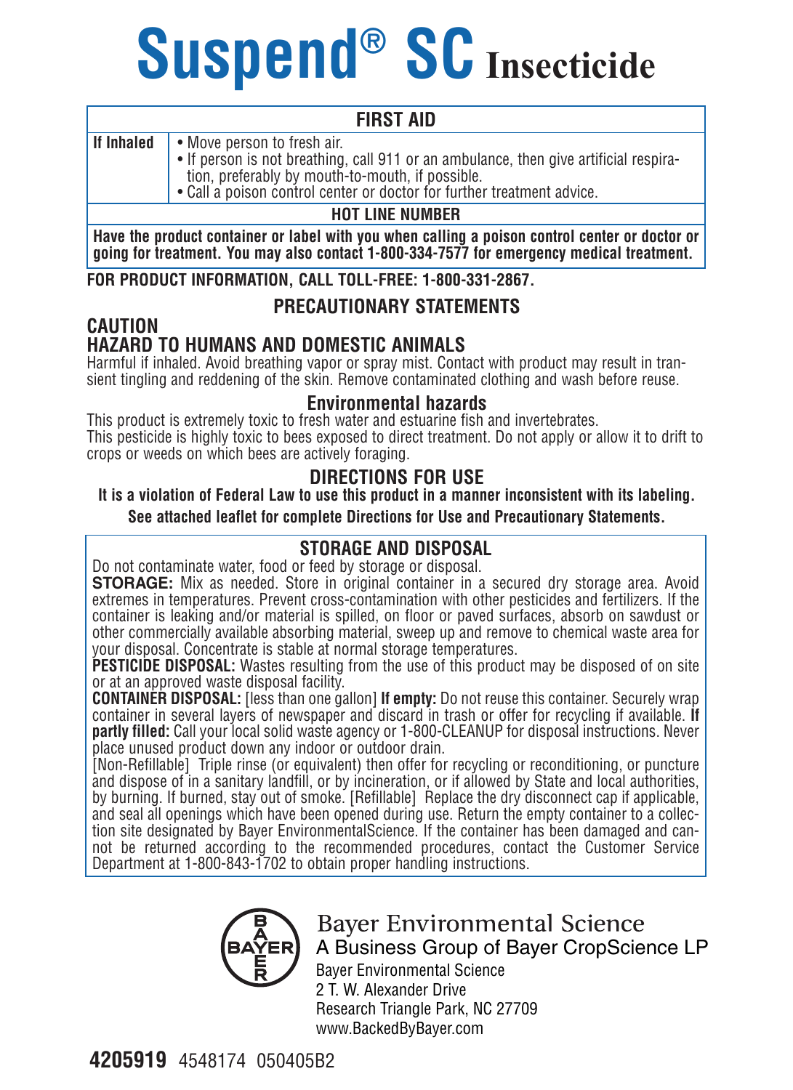# **Suspend® SC Insecticide**

#### **FIRST AID**

**If Inhaled** • Move person to fresh air.

• If person is not breathing, call 911 or an ambulance, then give artificial respiration, preferably by mouth-to-mouth, if possible.

• Call a poison control center or doctor for further treatment advice.

#### **HOT LINE NUMBER**

**Have the product container or label with you when calling a poison control center or doctor or going for treatment. You may also contact 1-800-334-7577 for emergency medical treatment.**

**FOR PRODUCT INFORMATION, CALL TOLL-FREE: 1-800-331-2867.**

#### **PRECAUTIONARY STATEMENTS**

#### **CAUTION HAZARD TO HUMANS AND DOMESTIC ANIMALS**

Harmful if inhaled. Avoid breathing vapor or spray mist. Contact with product may result in transient tingling and reddening of the skin. Remove contaminated clothing and wash before reuse.

#### **Environmental hazards**

This product is extremely toxic to fresh water and estuarine fish and invertebrates. This pesticide is highly toxic to bees exposed to direct treatment. Do not apply or allow it to drift to crops or weeds on which bees are actively foraging.

#### **DIRECTIONS FOR USE**

**It is a violation of Federal Law to use this product in a manner inconsistent with its labeling. See attached leaflet for complete Directions for Use and Precautionary Statements.**

#### **STORAGE AND DISPOSAL**

Do not contaminate water, food or feed by storage or disposal.

**STORAGE:** Mix as needed. Store in original container in a secured dry storage area. Avoid extremes in temperatures. Prevent cross-contamination with other pesticides and fertilizers. If the container is leaking and/or material is spilled, on floor or paved surfaces, absorb on sawdust or other commercially available absorbing material, sweep up and remove to chemical waste area for your disposal. Concentrate is stable at normal storage temperatures.

**PESTICIDE DISPOSAL:** Wastes resulting from the use of this product may be disposed of on site or at an approved waste disposal facility.

**CONTAINER DISPOSAL:** [less than one gallon] **If empty:** Do not reuse this container. Securely wrap container in several layers of newspaper and discard in trash or offer for recycling if available. **If partly filled:** Call your local solid waste agency or 1-800-CLEANUP for disposal instructions. Never place unused product down any indoor or outdoor drain.

[Non-Refillable] Triple rinse (or equivalent) then offer for recycling or reconditioning, or puncture and dispose of in a sanitary landfill, or by incineration, or if allowed by State and local authorities, by burning. If burned, stay out of smoke. [Refillable] Replace the dry disconnect cap if applicable, and seal all openings which have been opened during use. Return the empty container to a collection site designated by Bayer EnvironmentalScience. If the container has been damaged and cannot be returned according to the recommended procedures, contact the Customer Service Department at 1-800-843-1702 to obtain proper handling instructions.



#### **Baver Environmental Science** A Business Group of Bayer CropScience LP

Bayer Environmental Science 2 T. W. Alexander Drive Research Triangle Park, NC 27709 www.BackedByBayer.com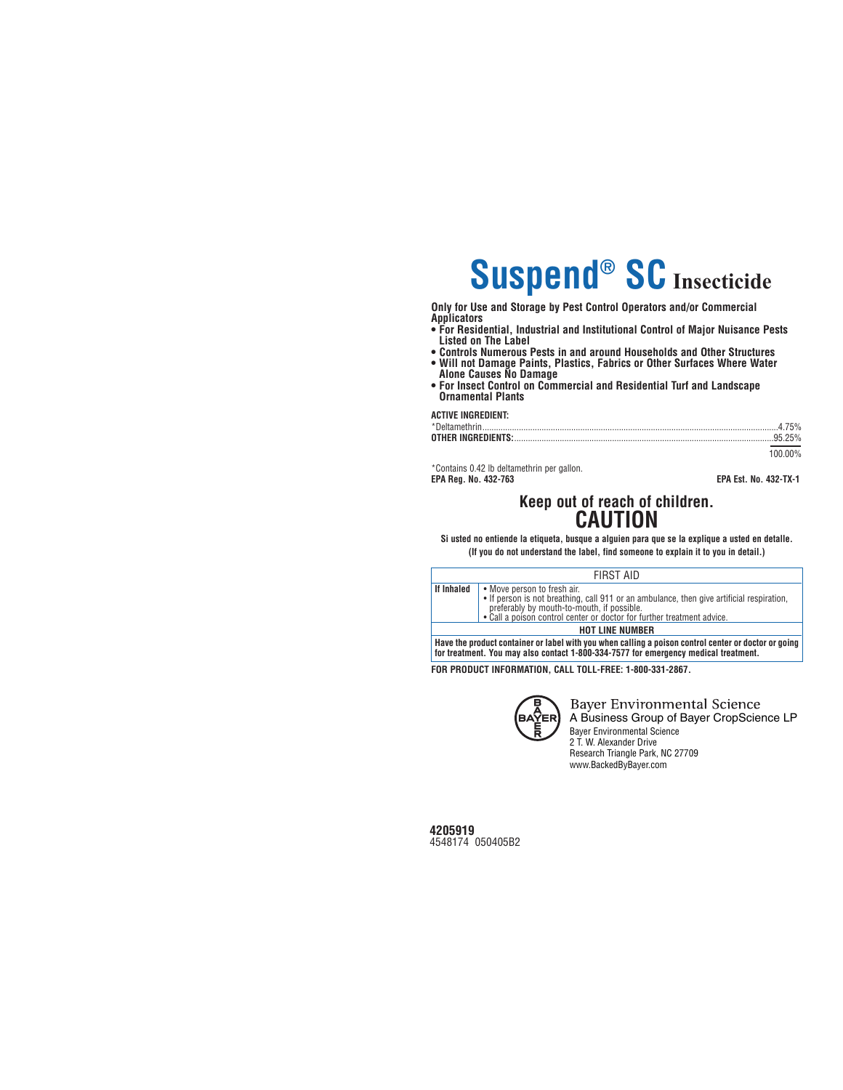# **Suspend® SC Insecticide**

**Only for Use and Storage by Pest Control Operators and/or Commercial Applicators**

- **For Residential, Industrial and Institutional Control of Major Nuisance Pests Listed on The Label**
- **Controls Numerous Pests in and around Households and Other Structures**
- **Will not Damage Paints, Plastics, Fabrics or Other Surfaces Where Water Alone Causes No Damage**
- **For Insect Control on Commercial and Residential Turf and Landscape Ornamental Plants**

**ACTIVE INGREDIENT:** 

| 100 00% |
|---------|

\*Contains 0.42 lb deltamethrin per gallon.

**EPA Reg. No. 432-763 EPA Est. No. 432-TX-1**

# **Keep out of reach of children. CAUTION**

**Si usted no entiende la etiqueta, busque a alguien para que se la explique a usted en detalle. (If you do not understand the label, find someone to explain it to you in detail.)**

|            | FIRST AID                                                                                                                                                                                                                                        |
|------------|--------------------------------------------------------------------------------------------------------------------------------------------------------------------------------------------------------------------------------------------------|
| If Inhaled | • Move person to fresh air.<br>• If person is not breathing, call 911 or an ambulance, then give artificial respiration,<br>preferably by mouth-to-mouth, if possible.<br>• Call a poison control center or doctor for further treatment advice. |
|            | <b>HOT LINE NUMBER</b>                                                                                                                                                                                                                           |
|            | Have the product container or label with you when calling a poison control center or doctor or going<br>for treatment. You may also contact 1-800-334-7577 for emergency medical treatment.                                                      |

**FOR PRODUCT INFORMATION, CALL TOLL-FREE: 1-800-331-2867.**



**Bayer Environmental Science** A Business Group of Bayer CropScience LP Bayer Environmental Science 2 T. W. Alexander Drive Research Triangle Park, NC 27709 www.BackedByBayer.com

**4205919** 4548174 050405B2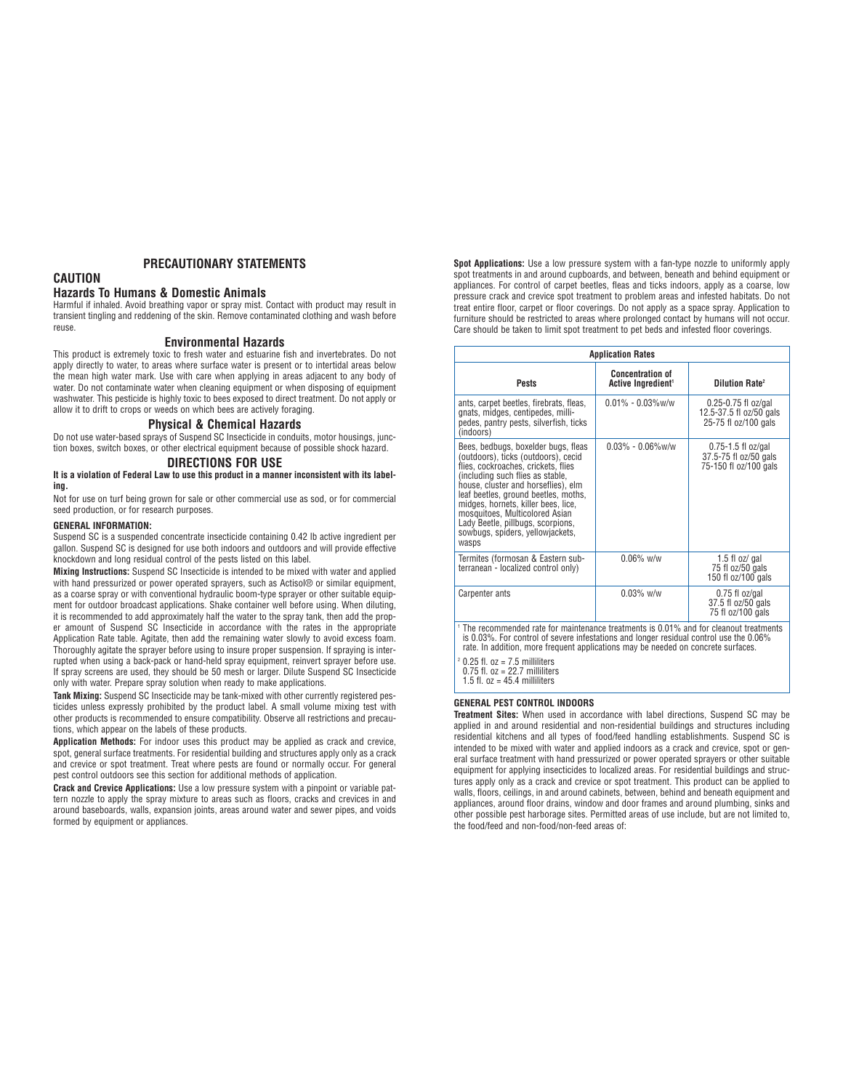# **PRECAUTIONARY STATEMENTS**

# **CAUTION**

### **Hazards To Humans & Domestic Animals**

Harmful if inhaled. Avoid breathing vapor or spray mist. Contact with product may result in transient tingling and reddening of the skin. Remove contaminated clothing and wash before reuse.

### **Environmental Hazards**

This product is extremely toxic to fresh water and estuarine fish and invertebrates. Do not apply directly to water, to areas where surface water is present or to intertidal areas below the mean high water mark. Use with care when applying in areas adjacent to any body of water. Do not contaminate water when cleaning equipment or when disposing of equipment washwater. This pesticide is highly toxic to bees exposed to direct treatment. Do not apply or allow it to drift to crops or weeds on which bees are actively foraging.

### **Physical & Chemical Hazards**

Do not use water-based sprays of Suspend SC Insecticide in conduits, motor housings, junction boxes, switch boxes, or other electrical equipment because of possible shock hazard.

# **DIRECTIONS FOR USE**

#### **It is a violation of Federal Law to use this product in a manner inconsistent with its labeling.**

Not for use on turf being grown for sale or other commercial use as sod, or for commercial seed production, or for research purposes.

#### **GENERAL INFORMATION:**

Suspend SC is a suspended concentrate insecticide containing 0.42 lb active ingredient per gallon. Suspend SC is designed for use both indoors and outdoors and will provide effective knockdown and long residual control of the pests listed on this label.

**Mixing Instructions:** Suspend SC Insecticide is intended to be mixed with water and applied with hand pressurized or power operated sprayers, such as Actisol® or similar equipment, as a coarse spray or with conventional hydraulic boom-type sprayer or other suitable equipment for outdoor broadcast applications. Shake container well before using. When diluting, it is recommended to add approximately half the water to the spray tank, then add the proper amount of Suspend SC Insecticide in accordance with the rates in the appropriate Application Rate table. Agitate, then add the remaining water slowly to avoid excess foam. Thoroughly agitate the sprayer before using to insure proper suspension. If spraying is interrupted when using a back-pack or hand-held spray equipment, reinvert sprayer before use. If spray screens are used, they should be 50 mesh or larger. Dilute Suspend SC Insecticide only with water. Prepare spray solution when ready to make applications.

**Tank Mixing:** Suspend SC Insecticide may be tank-mixed with other currently registered pesticides unless expressly prohibited by the product label. A small volume mixing test with other products is recommended to ensure compatibility. Observe all restrictions and precautions, which appear on the labels of these products.

**Application Methods:** For indoor uses this product may be applied as crack and crevice, spot, general surface treatments. For residential building and structures apply only as a crack and crevice or spot treatment. Treat where pests are found or normally occur. For general pest control outdoors see this section for additional methods of application.

**Crack and Crevice Applications:** Use a low pressure system with a pinpoint or variable pattern nozzle to apply the spray mixture to areas such as floors, cracks and crevices in and around baseboards, walls, expansion joints, areas around water and sewer pipes, and voids formed by equipment or appliances.

**Spot Applications:** Use a low pressure system with a fan-type nozzle to uniformly apply spot treatments in and around cupboards, and between, beneath and behind equipment or appliances. For control of carpet beetles, fleas and ticks indoors, apply as a coarse, low pressure crack and crevice spot treatment to problem areas and infested habitats. Do not treat entire floor, carpet or floor coverings. Do not apply as a space spray. Application to furniture should be restricted to areas where prolonged contact by humans will not occur. Care should be taken to limit spot treatment to pet beds and infested floor coverings.

|                                                                                                                                                                                                                                                                                                                                                                                                 | <b>Application Rates</b>                                  |                                                                            |
|-------------------------------------------------------------------------------------------------------------------------------------------------------------------------------------------------------------------------------------------------------------------------------------------------------------------------------------------------------------------------------------------------|-----------------------------------------------------------|----------------------------------------------------------------------------|
| <b>Pests</b>                                                                                                                                                                                                                                                                                                                                                                                    | <b>Concentration of</b><br>Active Ingredient <sup>1</sup> | <b>Dilution Rate<sup>2</sup></b>                                           |
| ants, carpet beetles, firebrats, fleas,<br>gnats, midges, centipedes, milli-<br>pedes, pantry pests, silverfish, ticks<br>(indoors)                                                                                                                                                                                                                                                             | $0.01\% - 0.03\%$ w/w                                     | $0.25 - 0.75$ fl oz/gal<br>12.5-37.5 fl oz/50 gals<br>25-75 fl oz/100 gals |
| Bees, bedbugs, boxelder bugs, fleas<br>(outdoors), ticks (outdoors), cecid<br>flies, cockroaches, crickets, flies<br>(including such flies as stable,<br>house, cluster and horseflies), elm<br>leaf beetles, ground beetles, moths,<br>midges, hornets, killer bees, lice,<br>mosquitoes, Multicolored Asian<br>Lady Beetle, pillbugs, scorpions,<br>sowbugs, spiders, yellowjackets,<br>wasps | $0.03\% - 0.06\%$ w/w                                     | $0.75 - 1.5$ fl oz/gal<br>37.5-75 fl oz/50 gals<br>75-150 fl oz/100 gals   |
| Termites (formosan & Eastern sub-<br>terranean - localized control only)                                                                                                                                                                                                                                                                                                                        | $0.06\%$ w/w                                              | 1.5 fl oz/ gal<br>75 fl oz/50 gals<br>150 fl oz/100 gals                   |
| <b>Carpenter ants</b>                                                                                                                                                                                                                                                                                                                                                                           | $0.03\%$ w/w                                              | $0.75$ fl oz/gal<br>37.5 fl oz/50 gals<br>75 fl oz/100 gals                |
| The recommended rate for maintenance treatments is 0.01% and for cleanout treatments<br>is 0.03%. For control of severe infestations and longer residual control use the 0.06%<br>rate. In addition, more frequent applications may be needed on concrete surfaces                                                                                                                              |                                                           |                                                                            |

 $0.75$  fl. oz = 22.7 milliliters 1.5 fl.  $oz = 45.4$  milliliters

 $0.25$  fl. oz = 7.5 milliliters

# **GENERAL PEST CONTROL INDOORS**

**Treatment Sites:** When used in accordance with label directions, Suspend SC may be applied in and around residential and non-residential buildings and structures including residential kitchens and all types of food/feed handling establishments. Suspend SC is intended to be mixed with water and applied indoors as a crack and crevice, spot or general surface treatment with hand pressurized or power operated sprayers or other suitable equipment for applying insecticides to localized areas. For residential buildings and structures apply only as a crack and crevice or spot treatment. This product can be applied to walls, floors, ceilings, in and around cabinets, between, behind and beneath equipment and appliances, around floor drains, window and door frames and around plumbing, sinks and other possible pest harborage sites. Permitted areas of use include, but are not limited to, the food/feed and non-food/non-feed areas of: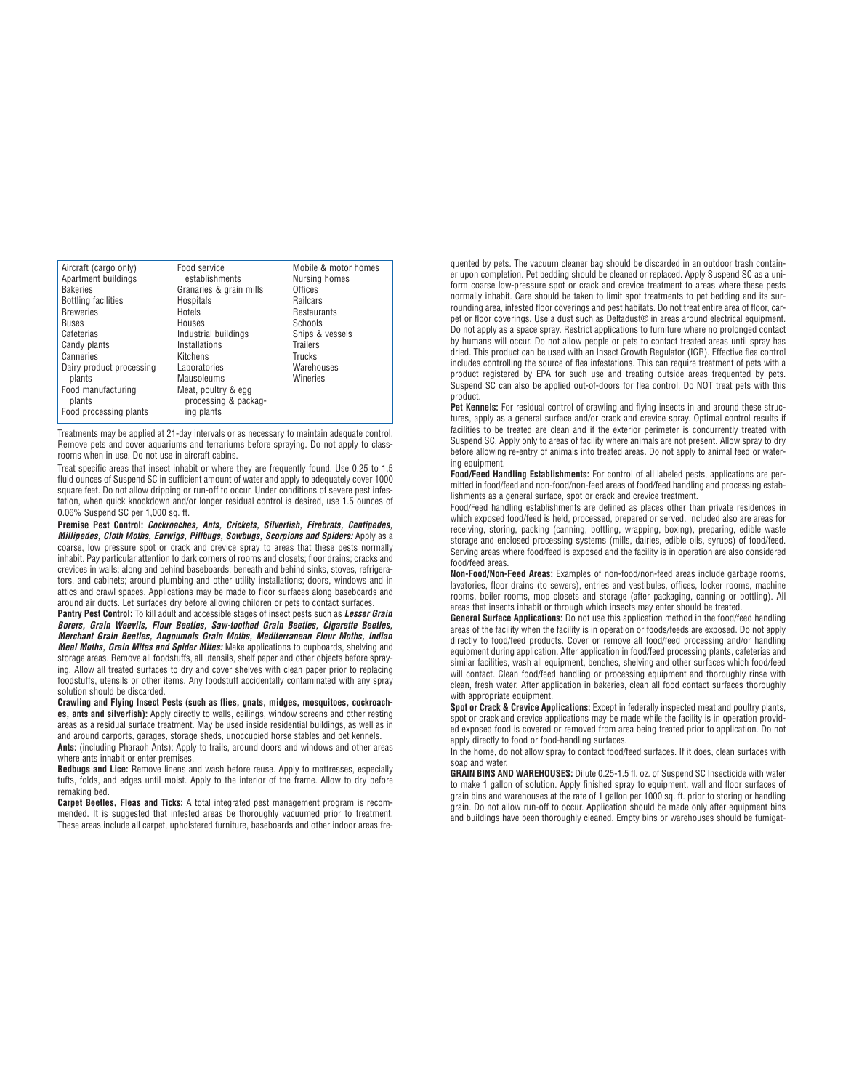| Aircraft (cargo only)<br>Apartment buildings | Food service<br>establishments | Mobile & motor homes<br>Nursing homes |
|----------------------------------------------|--------------------------------|---------------------------------------|
| <b>Bakeries</b>                              | Granaries & grain mills        | Offices                               |
| <b>Bottling facilities</b>                   | Hospitals                      | <b>Railcars</b>                       |
| <b>Breweries</b>                             | Hotels                         | Restaurants                           |
| <b>Buses</b>                                 | Houses                         | Schools                               |
|                                              |                                |                                       |
| Cafeterias                                   | Industrial buildings           | Ships & vessels                       |
| Candy plants                                 | Installations                  | <b>Trailers</b>                       |
| Canneries                                    | Kitchens                       | Trucks                                |
| Dairy product processing                     | Laboratories                   | Warehouses                            |
| plants                                       | Mausoleums                     | Wineries                              |
| Food manufacturing                           | Meat, poultry & egg            |                                       |
| plants                                       | processing & packag-           |                                       |
| Food processing plants                       | ing plants                     |                                       |

Treatments may be applied at 21-day intervals or as necessary to maintain adequate control. Remove pets and cover aquariums and terrariums before spraying. Do not apply to classrooms when in use. Do not use in aircraft cabins.

Treat specific areas that insect inhabit or where they are frequently found. Use 0.25 to 1.5 fluid ounces of Suspend SC in sufficient amount of water and apply to adequately cover 1000 square feet. Do not allow dripping or run-off to occur. Under conditions of severe pest infestation, when quick knockdown and/or longer residual control is desired, use 1.5 ounces of 0.06% Suspend SC per 1,000 sq. ft.

**Premise Pest Control: Cockroaches, Ants, Crickets, Silverfish, Firebrats, Centipedes, Millipedes, Cloth Moths, Earwigs, Pillbugs, Sowbugs, Scorpions and Spiders:** Apply as a coarse, low pressure spot or crack and crevice spray to areas that these pests normally inhabit. Pay particular attention to dark corners of rooms and closets; floor drains; cracks and crevices in walls; along and behind baseboards; beneath and behind sinks, stoves, refrigerators, and cabinets; around plumbing and other utility installations; doors, windows and in attics and crawl spaces. Applications may be made to floor surfaces along baseboards and around air ducts. Let surfaces dry before allowing children or pets to contact surfaces.

**Pantry Pest Control:** To kill adult and accessible stages of insect pests such as **Lesser Grain Borers, Grain Weevils, Flour Beetles, Saw-toothed Grain Beetles, Cigarette Beetles, Merchant Grain Beetles, Angoumois Grain Moths, Mediterranean Flour Moths, Indian Meal Moths, Grain Mites and Spider Mites:** Make applications to cupboards, shelving and storage areas. Remove all foodstuffs, all utensils, shelf paper and other objects before spraying. Allow all treated surfaces to dry and cover shelves with clean paper prior to replacing foodstuffs, utensils or other items. Any foodstuff accidentally contaminated with any spray solution should be discarded.

**Crawling and Flying Insect Pests (such as flies, gnats, midges, mosquitoes, cockroaches, ants and silverfish):** Apply directly to walls, ceilings, window screens and other resting areas as a residual surface treatment. May be used inside residential buildings, as well as in and around carports, garages, storage sheds, unoccupied horse stables and pet kennels. **Ants:** (including Pharaoh Ants): Apply to trails, around doors and windows and other areas where ants inhabit or enter premises.

**Bedbugs and Lice:** Remove linens and wash before reuse. Apply to mattresses, especially tufts, folds, and edges until moist. Apply to the interior of the frame. Allow to dry before remaking bed.

**Carpet Beetles, Fleas and Ticks:** A total integrated pest management program is recommended. It is suggested that infested areas be thoroughly vacuumed prior to treatment. These areas include all carpet, upholstered furniture, baseboards and other indoor areas fre-

quented by pets. The vacuum cleaner bag should be discarded in an outdoor trash container upon completion. Pet bedding should be cleaned or replaced. Apply Suspend SC as a uniform coarse low-pressure spot or crack and crevice treatment to areas where these pests normally inhabit. Care should be taken to limit spot treatments to pet bedding and its surrounding area, infested floor coverings and pest habitats. Do not treat entire area of floor, carpet or floor coverings. Use a dust such as Deltadust® in areas around electrical equipment. Do not apply as a space spray. Restrict applications to furniture where no prolonged contact by humans will occur. Do not allow people or pets to contact treated areas until spray has dried. This product can be used with an Insect Growth Regulator (IGR). Effective flea control includes controlling the source of flea infestations. This can require treatment of pets with a product registered by EPA for such use and treating outside areas frequented by pets. Suspend SC can also be applied out-of-doors for flea control. Do NOT treat pets with this product.

Pet Kennels: For residual control of crawling and flying insects in and around these structures, apply as a general surface and/or crack and crevice spray. Optimal control results if facilities to be treated are clean and if the exterior perimeter is concurrently treated with Suspend SC. Apply only to areas of facility where animals are not present. Allow spray to dry before allowing re-entry of animals into treated areas. Do not apply to animal feed or watering equipment.

**Food/Feed Handling Establishments:** For control of all labeled pests, applications are permitted in food/feed and non-food/non-feed areas of food/feed handling and processing establishments as a general surface, spot or crack and crevice treatment.

Food/Feed handling establishments are defined as places other than private residences in which exposed food/feed is held, processed, prepared or served. Included also are areas for receiving, storing, packing (canning, bottling, wrapping, boxing), preparing, edible waste storage and enclosed processing systems (mills, dairies, edible oils, syrups) of food/feed. Serving areas where food/feed is exposed and the facility is in operation are also considered food/feed areas.

**Non-Food/Non-Feed Areas:** Examples of non-food/non-feed areas include garbage rooms, lavatories, floor drains (to sewers), entries and vestibules, offices, locker rooms, machine rooms, boiler rooms, mop closets and storage (after packaging, canning or bottling). All areas that insects inhabit or through which insects may enter should be treated.

**General Surface Applications:** Do not use this application method in the food/feed handling areas of the facility when the facility is in operation or foods/feeds are exposed. Do not apply directly to food/feed products. Cover or remove all food/feed processing and/or handling equipment during application. After application in food/feed processing plants, cafeterias and similar facilities, wash all equipment, benches, shelving and other surfaces which food/feed will contact. Clean food/feed handling or processing equipment and thoroughly rinse with clean, fresh water. After application in bakeries, clean all food contact surfaces thoroughly with appropriate equipment.

**Spot or Crack & Crevice Applications:** Except in federally inspected meat and poultry plants, spot or crack and crevice applications may be made while the facility is in operation provided exposed food is covered or removed from area being treated prior to application. Do not apply directly to food or food-handling surfaces.

In the home, do not allow spray to contact food/feed surfaces. If it does, clean surfaces with soap and water

**GRAIN BINS AND WAREHOUSES:** Dilute 0.25-1.5 fl. oz. of Suspend SC Insecticide with water to make 1 gallon of solution. Apply finished spray to equipment, wall and floor surfaces of grain bins and warehouses at the rate of 1 gallon per 1000 sq. ft. prior to storing or handling grain. Do not allow run-off to occur. Application should be made only after equipment bins and buildings have been thoroughly cleaned. Empty bins or warehouses should be fumigat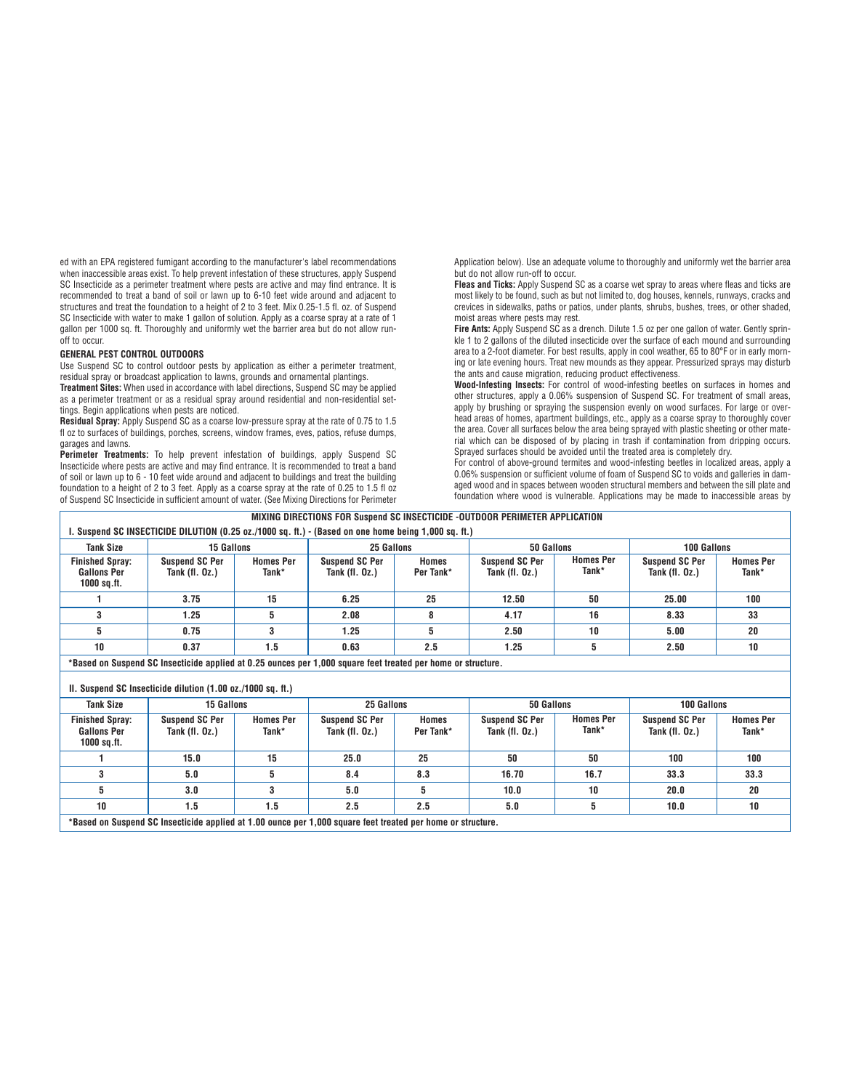ed with an EPA registered fumigant according to the manufacturer's label recommendations when inaccessible areas exist. To help prevent infestation of these structures, apply Suspend SC Insecticide as a perimeter treatment where pests are active and may find entrance. It is recommended to treat a band of soil or lawn up to 6-10 feet wide around and adjacent to structures and treat the foundation to a height of 2 to 3 feet. Mix 0.25-1.5 fl. oz. of Suspend SC Insecticide with water to make 1 gallon of solution. Apply as a coarse spray at a rate of 1 gallon per 1000 sq. ft. Thoroughly and uniformly wet the barrier area but do not allow runoff to occur.

# **GENERAL PEST CONTROL OUTDOORS**

Use Suspend SC to control outdoor pests by application as either a perimeter treatment, residual spray or broadcast application to lawns, grounds and ornamental plantings.

**Treatment Sites:** When used in accordance with label directions, Suspend SC may be applied as a perimeter treatment or as a residual spray around residential and non-residential settings. Begin applications when pests are noticed.

**Residual Spray:** Apply Suspend SC as a coarse low-pressure spray at the rate of 0.75 to 1.5 fl oz to surfaces of buildings, porches, screens, window frames, eves, patios, refuse dumps, garages and lawns.

**Perimeter Treatments:** To help prevent infestation of buildings, apply Suspend SC Insecticide where pests are active and may find entrance. It is recommended to treat a band of soil or lawn up to 6 - 10 feet wide around and adjacent to buildings and treat the building foundation to a height of 2 to 3 feet. Apply as a coarse spray at the rate of 0.25 to 1.5 fl oz of Suspend SC Insecticide in sufficient amount of water. (See Mixing Directions for Perimeter

Application below). Use an adequate volume to thoroughly and uniformly wet the barrier area but do not allow run-off to occur.

**Fleas and Ticks:** Apply Suspend SC as a coarse wet spray to areas where fleas and ticks are most likely to be found, such as but not limited to, dog houses, kennels, runways, cracks and crevices in sidewalks, paths or patios, under plants, shrubs, bushes, trees, or other shaded, moist areas where pests may rest.

**Fire Ants:** Apply Suspend SC as a drench. Dilute 1.5 oz per one gallon of water. Gently sprinkle 1 to 2 gallons of the diluted insecticide over the surface of each mound and surrounding area to a 2-foot diameter. For best results, apply in cool weather, 65 to 80°F or in early morning or late evening hours. Treat new mounds as they appear. Pressurized sprays may disturb the ants and cause migration, reducing product effectiveness.

**Wood-Infesting Insects:** For control of wood-infesting beetles on surfaces in homes and other structures, apply a 0.06% suspension of Suspend SC. For treatment of small areas, apply by brushing or spraying the suspension evenly on wood surfaces. For large or overhead areas of homes, apartment buildings, etc., apply as a coarse spray to thoroughly cover the area. Cover all surfaces below the area being sprayed with plastic sheeting or other material which can be disposed of by placing in trash if contamination from dripping occurs. Sprayed surfaces should be avoided until the treated area is completely dry.

For control of above-ground termites and wood-infesting beetles in localized areas, apply a 0.06% suspension or sufficient volume of foam of Suspend SC to voids and galleries in damaged wood and in spaces between wooden structural members and between the sill plate and foundation where wood is vulnerable. Applications may be made to inaccessible areas by

| MIXING DIRECTIONS FOR Suspend SC INSECTICIDE -OUTDOOR PERIMETER APPLICATION                                  |                                                             |                           |                                         |                           |                                           |                           |                                           |                           |
|--------------------------------------------------------------------------------------------------------------|-------------------------------------------------------------|---------------------------|-----------------------------------------|---------------------------|-------------------------------------------|---------------------------|-------------------------------------------|---------------------------|
| . Suspend SC INSECTICIDE DILUTION (0.25 oz./1000 sq. ft.) - (Based on one home being 1,000 sq. ft.)          |                                                             |                           |                                         |                           |                                           |                           |                                           |                           |
| <b>Tank Size</b>                                                                                             | 15 Gallons                                                  |                           | 25 Gallons                              |                           | 50 Gallons                                |                           | 100 Gallons                               |                           |
| <b>Finished Spray:</b><br><b>Gallons Per</b><br>$1000$ sq.ft.                                                | <b>Suspend SC Per</b><br>Tank $(f1. 0z.)$                   | <b>Homes Per</b><br>Tank* | <b>Suspend SC Per</b><br>Tank (fl. Oz.) | <b>Homes</b><br>Per Tank* | <b>Suspend SC Per</b><br>Tank $(fl. 0z.)$ | <b>Homes Per</b><br>Tank* | <b>Suspend SC Per</b><br>Tank $(f1. 0z.)$ | <b>Homes Per</b><br>Tank* |
|                                                                                                              | 3.75                                                        | 15                        | 6.25                                    | 25                        | 12.50                                     | 50                        | 25.00                                     | 100                       |
| 3                                                                                                            | 1.25                                                        | 5                         | 2.08                                    | 8                         | 4.17                                      | 16                        | 8.33                                      | 33                        |
| 5                                                                                                            | 0.75                                                        | 3                         | 1.25                                    | 5                         | 2.50                                      | 10                        | 5.00                                      | 20                        |
| 10                                                                                                           | 0.37                                                        | 1.5                       | 0.63                                    | 2.5                       | 1.25                                      | 5                         | 2.50                                      | 10                        |
| *Based on Suspend SC Insecticide applied at 0.25 ounces per 1,000 square feet treated per home or structure. |                                                             |                           |                                         |                           |                                           |                           |                                           |                           |
|                                                                                                              |                                                             |                           |                                         |                           |                                           |                           |                                           |                           |
|                                                                                                              | II. Suspend SC Insecticide dilution (1.00 oz./1000 sq. ft.) |                           |                                         |                           |                                           |                           |                                           |                           |
| <b>Tank Size</b>                                                                                             | 15 Gallons                                                  |                           | 25 Gallons                              |                           | 50 Gallons                                |                           | 100 Gallons                               |                           |
| <b>Finished Spray:</b><br><b>Gallons Per</b><br>$1000$ sq.ft.                                                | <b>Suspend SC Per</b><br>Tank (fl. Oz.)                     | <b>Homes Per</b><br>Tank* | <b>Suspend SC Per</b><br>Tank (fl. Oz.) | <b>Homes</b><br>Per Tank* | <b>Suspend SC Per</b><br>Tank $(fl. Oz.)$ | <b>Homes Per</b><br>Tank* | <b>Suspend SC Per</b><br>Tank $(fl. Oz.)$ | <b>Homes Per</b><br>Tank* |
|                                                                                                              | 15.0                                                        | 15                        | 25.0                                    | 25                        | 50                                        | 50                        | 100                                       | 100                       |
| 3                                                                                                            | 5.0                                                         | 5                         | 8.4                                     | 8.3                       | 16.70                                     | 16.7                      | 33.3                                      | 33.3                      |
| 5                                                                                                            | 3.0                                                         | 3                         | 5.0                                     | 5                         | 10.0                                      | 10                        | 20.0                                      | 20                        |
| 10                                                                                                           | 1.5                                                         | 1.5                       | 2.5                                     | 2.5                       | 5.0                                       | 5                         | 10.0                                      | 10                        |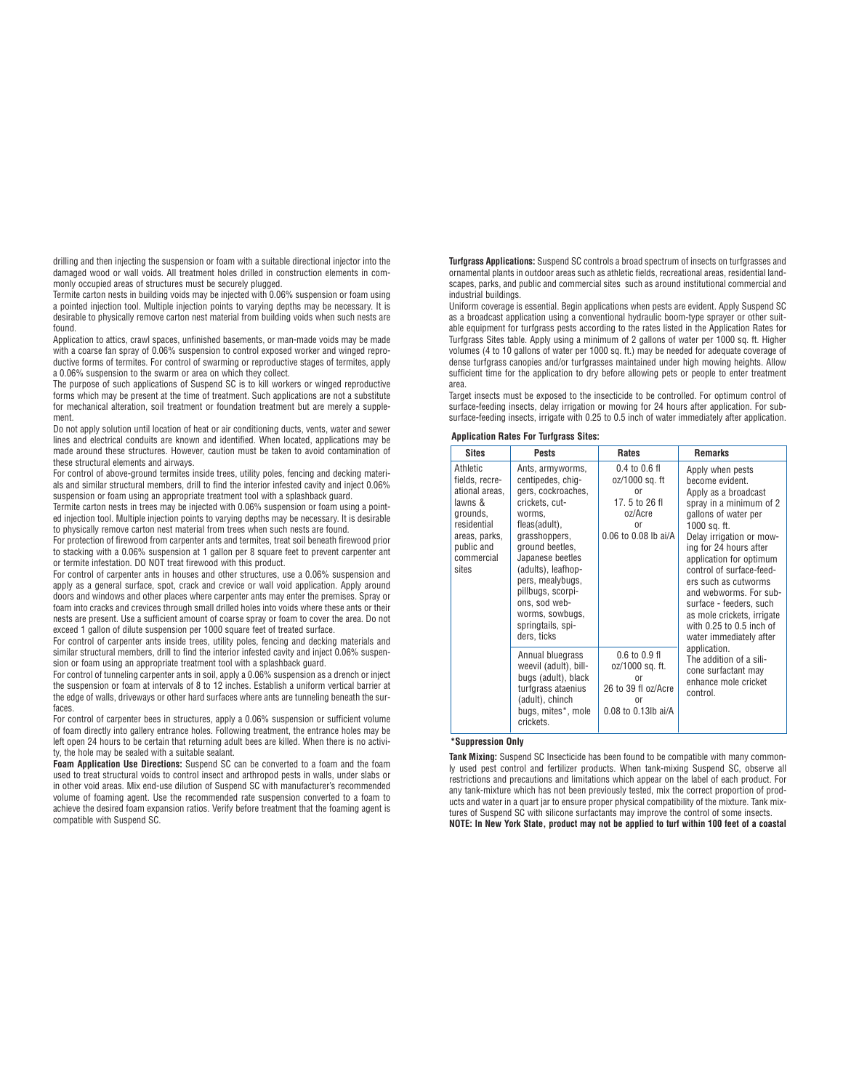drilling and then injecting the suspension or foam with a suitable directional injector into the damaged wood or wall voids. All treatment holes drilled in construction elements in commonly occupied areas of structures must be securely plugged.

Termite carton nests in building voids may be injected with 0.06% suspension or foam using a pointed injection tool. Multiple injection points to varying depths may be necessary. It is desirable to physically remove carton nest material from building voids when such nests are found.

Application to attics, crawl spaces, unfinished basements, or man-made voids may be made with a coarse fan spray of 0.06% suspension to control exposed worker and winged reproductive forms of termites. For control of swarming or reproductive stages of termites, apply a 0.06% suspension to the swarm or area on which they collect.

The purpose of such applications of Suspend SC is to kill workers or winged reproductive forms which may be present at the time of treatment. Such applications are not a substitute for mechanical alteration, soil treatment or foundation treatment but are merely a supplement.

Do not apply solution until location of heat or air conditioning ducts, vents, water and sewer lines and electrical conduits are known and identified. When located, applications may be made around these structures. However, caution must be taken to avoid contamination of these structural elements and airways.

For control of above-ground termites inside trees, utility poles, fencing and decking materials and similar structural members, drill to find the interior infested cavity and inject 0.06% suspension or foam using an appropriate treatment tool with a splashback guard.

Termite carton nests in trees may be injected with 0.06% suspension or foam using a pointed injection tool. Multiple injection points to varying depths may be necessary. It is desirable to physically remove carton nest material from trees when such nests are found.

For protection of firewood from carpenter ants and termites, treat soil beneath firewood prior to stacking with a 0.06% suspension at 1 gallon per 8 square feet to prevent carpenter ant or termite infestation. DO NOT treat firewood with this product.

For control of carpenter ants in houses and other structures, use a 0.06% suspension and apply as a general surface, spot, crack and crevice or wall void application. Apply around doors and windows and other places where carpenter ants may enter the premises. Spray or foam into cracks and crevices through small drilled holes into voids where these ants or their nests are present. Use a sufficient amount of coarse spray or foam to cover the area. Do not exceed 1 gallon of dilute suspension per 1000 square feet of treated surface.

For control of carpenter ants inside trees, utility poles, fencing and decking materials and similar structural members, drill to find the interior infested cavity and inject 0.06% suspension or foam using an appropriate treatment tool with a splashback guard.

For control of tunneling carpenter ants in soil, apply a 0.06% suspension as a drench or inject the suspension or foam at intervals of 8 to 12 inches. Establish a uniform vertical barrier at the edge of walls, driveways or other hard surfaces where ants are tunneling beneath the surfaces.

For control of carpenter bees in structures, apply a 0.06% suspension or sufficient volume of foam directly into gallery entrance holes. Following treatment, the entrance holes may be left open 24 hours to be certain that returning adult bees are killed. When there is no activity, the hole may be sealed with a suitable sealant.

**Foam Application Use Directions:** Suspend SC can be converted to a foam and the foam used to treat structural voids to control insect and arthropod pests in walls, under slabs or in other void areas. Mix end-use dilution of Suspend SC with manufacturer's recommended volume of foaming agent. Use the recommended rate suspension converted to a foam to achieve the desired foam expansion ratios. Verify before treatment that the foaming agent is compatible with Suspend SC.

**Turfgrass Applications:** Suspend SC controls a broad spectrum of insects on turfgrasses and ornamental plants in outdoor areas such as athletic fields, recreational areas, residential landscapes, parks, and public and commercial sites such as around institutional commercial and industrial buildings.

Uniform coverage is essential. Begin applications when pests are evident. Apply Suspend SC as a broadcast application using a conventional hydraulic boom-type sprayer or other suitable equipment for turfgrass pests according to the rates listed in the Application Rates for Turfgrass Sites table. Apply using a minimum of 2 gallons of water per 1000 sq. ft. Higher volumes (4 to 10 gallons of water per 1000 sq. ft.) may be needed for adequate coverage of dense turfgrass canopies and/or turfgrasses maintained under high mowing heights. Allow sufficient time for the application to dry before allowing pets or people to enter treatment area.

Target insects must be exposed to the insecticide to be controlled. For optimum control of surface-feeding insects, delay irrigation or mowing for 24 hours after application. For subsurface-feeding insects, irrigate with 0.25 to 0.5 inch of water immediately after application.

#### **Application Rates For Turfgrass Sites:**

| <b>Sites</b>                                                                                                                             | <b>Pests</b>                                                                                                                                                                                                                                                                                            | <b>Rates</b>                                                                                                   | <b>Remarks</b>                                                                                                                                                                                                                                                                                                                                                                                                    |
|------------------------------------------------------------------------------------------------------------------------------------------|---------------------------------------------------------------------------------------------------------------------------------------------------------------------------------------------------------------------------------------------------------------------------------------------------------|----------------------------------------------------------------------------------------------------------------|-------------------------------------------------------------------------------------------------------------------------------------------------------------------------------------------------------------------------------------------------------------------------------------------------------------------------------------------------------------------------------------------------------------------|
| Athletic<br>fields, recre-<br>ational areas,<br>lawns &<br>grounds,<br>residential<br>areas, parks,<br>public and<br>commercial<br>sites | Ants, armyworms,<br>centipedes, chiq-<br>gers, cockroaches,<br>crickets, cut-<br>worms.<br>fleas(adult),<br>grasshoppers,<br>ground beetles,<br>Japanese beetles<br>(adults), leafhop-<br>pers, mealybugs,<br>pillbugs, scorpi-<br>ons, sod web-<br>worms, sowbugs,<br>springtails, spi-<br>ders, ticks | $0.4$ to $0.6$ fl<br>oz/1000 sq. ft<br>or<br>17.5 to 26 fl<br>oz/Acre<br>nr<br>$0.06$ to $0.08$ lb ai/A        | Apply when pests<br>become evident.<br>Apply as a broadcast<br>spray in a minimum of 2<br>gallons of water per<br>1000 sq. ft.<br>Delay irrigation or mow-<br>ing for 24 hours after<br>application for optimum<br>control of surface-feed-<br>ers such as cutworms<br>and webworms. For sub-<br>surface - feeders, such<br>as mole crickets, irrigate<br>with $0.25$ to $0.5$ inch of<br>water immediately after |
|                                                                                                                                          | Annual bluegrass<br>weevil (adult), bill-<br>bugs (adult), black<br>turfgrass ataenius<br>(adult), chinch<br>bugs, mites*, mole<br>crickets.                                                                                                                                                            | $0.6$ to $0.9$ fl<br>oz/1000 sq. ft.<br><sub>0r</sub><br>26 to 39 fl oz/Acre<br>nr<br>$0.08$ to $0.13$ lb ai/A | application.<br>The addition of a sili-<br>cone surfactant may<br>enhance mole cricket<br>control.                                                                                                                                                                                                                                                                                                                |

### **\*Suppression Only**

**Tank Mixing:** Suspend SC Insecticide has been found to be compatible with many commonly used pest control and fertilizer products. When tank-mixing Suspend SC, observe all restrictions and precautions and limitations which appear on the label of each product. For any tank-mixture which has not been previously tested, mix the correct proportion of products and water in a quart jar to ensure proper physical compatibility of the mixture. Tank mixtures of Suspend SC with silicone surfactants may improve the control of some insects. **NOTE: In New York State, product may not be applied to turf within 100 feet of a coastal**